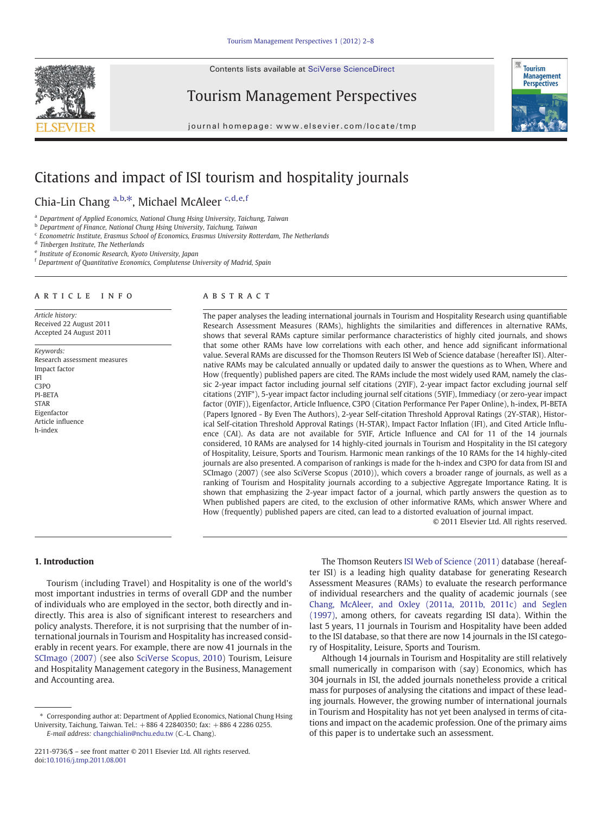Contents lists available at SciVerse ScienceDirect



Tourism Management Perspectives



journal homepage: www.elsevier.com/locate/tmp

## Citations and impact of ISI tourism and hospitality journals

### Chia-Lin Chang a, b,\*, Michael McAleer c, d, e, f

a Department of Applied Economics, National Chung Hsing University, Taichung, Taiwan

**b** Department of Finance, National Chung Hsing University, Taichung, Taiwan

c Econometric Institute, Erasmus School of Economics, Erasmus University Rotterdam, The Netherlands

<sup>d</sup> Tinbergen Institute, The Netherlands

<sup>e</sup> Institute of Economic Research, Kyoto University, Japan

<sup>f</sup> Department of Quantitative Economics, Complutense University of Madrid, Spain

### ARTICLE INFO ABSTRACT

Article history: Received 22 August 2011 Accepted 24 August 2011

Keywords: Research assessment measures Impact factor IFI C3PO PI-BETA STAR Eigenfactor Article influence h-index

The paper analyses the leading international journals in Tourism and Hospitality Research using quantifiable Research Assessment Measures (RAMs), highlights the similarities and differences in alternative RAMs, shows that several RAMs capture similar performance characteristics of highly cited journals, and shows that some other RAMs have low correlations with each other, and hence add significant informational value. Several RAMs are discussed for the Thomson Reuters ISI Web of Science database (hereafter ISI). Alternative RAMs may be calculated annually or updated daily to answer the questions as to When, Where and How (frequently) published papers are cited. The RAMs include the most widely used RAM, namely the classic 2-year impact factor including journal self citations (2YIF), 2-year impact factor excluding journal self citations (2YIF\*), 5-year impact factor including journal self citations (5YIF), Immediacy (or zero-year impact factor (0YIF)), Eigenfactor, Article Influence, C3PO (Citation Performance Per Paper Online), h-index, PI-BETA (Papers Ignored - By Even The Authors), 2-year Self-citation Threshold Approval Ratings (2Y-STAR), Historical Self-citation Threshold Approval Ratings (H-STAR), Impact Factor Inflation (IFI), and Cited Article Influence (CAI). As data are not available for 5YIF, Article Influence and CAI for 11 of the 14 journals considered, 10 RAMs are analysed for 14 highly-cited journals in Tourism and Hospitality in the ISI category of Hospitality, Leisure, Sports and Tourism. Harmonic mean rankings of the 10 RAMs for the 14 highly-cited journals are also presented. A comparison of rankings is made for the h-index and C3PO for data from ISI and SCImago (2007) (see also SciVerse Scopus (2010)), which covers a broader range of journals, as well as a ranking of Tourism and Hospitality journals according to a subjective Aggregate Importance Rating. It is shown that emphasizing the 2-year impact factor of a journal, which partly answers the question as to When published papers are cited, to the exclusion of other informative RAMs, which answer Where and How (frequently) published papers are cited, can lead to a distorted evaluation of journal impact. © 2011 Elsevier Ltd. All rights reserved.

1. Introduction

Tourism (including Travel) and Hospitality is one of the world's most important industries in terms of overall GDP and the number of individuals who are employed in the sector, both directly and indirectly. This area is also of significant interest to researchers and policy analysts. Therefore, it is not surprising that the number of international journals in Tourism and Hospitality has increased considerably in recent years. For example, there are now 41 journals in the [SCImago \(2007\)](#page--1-0) (see also [SciVerse Scopus, 2010\)](#page--1-0) Tourism, Leisure and Hospitality Management category in the Business, Management and Accounting area.

The Thomson Reuters [ISI Web of Science \(2011\)](#page--1-0) database (hereafter ISI) is a leading high quality database for generating Research Assessment Measures (RAMs) to evaluate the research performance of individual researchers and the quality of academic journals (see [Chang, McAleer, and Oxley \(2011a, 2011b, 2011c\) and Seglen](#page--1-0) [\(1997\),](#page--1-0) among others, for caveats regarding ISI data). Within the last 5 years, 11 journals in Tourism and Hospitality have been added to the ISI database, so that there are now 14 journals in the ISI category of Hospitality, Leisure, Sports and Tourism.

Although 14 journals in Tourism and Hospitality are still relatively small numerically in comparison with (say) Economics, which has 304 journals in ISI, the added journals nonetheless provide a critical mass for purposes of analysing the citations and impact of these leading journals. However, the growing number of international journals in Tourism and Hospitality has not yet been analysed in terms of citations and impact on the academic profession. One of the primary aims of this paper is to undertake such an assessment.

<sup>⁎</sup> Corresponding author at: Department of Applied Economics, National Chung Hsing University, Taichung, Taiwan. Tel.: +886 4 22840350; fax: +886 4 2286 0255. E-mail address: [changchialin@nchu.edu.tw](mailto:changchialin@nchu.edu.tw) (C.-L. Chang).

<sup>2211-9736/\$</sup> – see front matter © 2011 Elsevier Ltd. All rights reserved. doi[:10.1016/j.tmp.2011.08.001](http://dx.doi.org/10.1016/j.tmp.2011.08.001)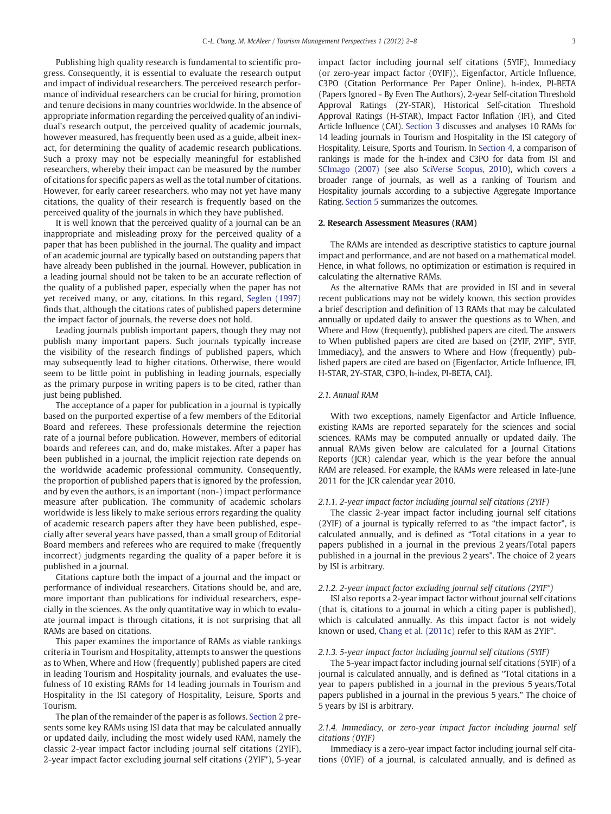Publishing high quality research is fundamental to scientific progress. Consequently, it is essential to evaluate the research output and impact of individual researchers. The perceived research performance of individual researchers can be crucial for hiring, promotion and tenure decisions in many countries worldwide. In the absence of appropriate information regarding the perceived quality of an individual's research output, the perceived quality of academic journals, however measured, has frequently been used as a guide, albeit inexact, for determining the quality of academic research publications. Such a proxy may not be especially meaningful for established researchers, whereby their impact can be measured by the number of citations for specific papers as well as the total number of citations. However, for early career researchers, who may not yet have many citations, the quality of their research is frequently based on the perceived quality of the journals in which they have published.

It is well known that the perceived quality of a journal can be an inappropriate and misleading proxy for the perceived quality of a paper that has been published in the journal. The quality and impact of an academic journal are typically based on outstanding papers that have already been published in the journal. However, publication in a leading journal should not be taken to be an accurate reflection of the quality of a published paper, especially when the paper has not yet received many, or any, citations. In this regard, [Seglen \(1997\)](#page--1-0) finds that, although the citations rates of published papers determine the impact factor of journals, the reverse does not hold.

Leading journals publish important papers, though they may not publish many important papers. Such journals typically increase the visibility of the research findings of published papers, which may subsequently lead to higher citations. Otherwise, there would seem to be little point in publishing in leading journals, especially as the primary purpose in writing papers is to be cited, rather than just being published.

The acceptance of a paper for publication in a journal is typically based on the purported expertise of a few members of the Editorial Board and referees. These professionals determine the rejection rate of a journal before publication. However, members of editorial boards and referees can, and do, make mistakes. After a paper has been published in a journal, the implicit rejection rate depends on the worldwide academic professional community. Consequently, the proportion of published papers that is ignored by the profession, and by even the authors, is an important (non-) impact performance measure after publication. The community of academic scholars worldwide is less likely to make serious errors regarding the quality of academic research papers after they have been published, especially after several years have passed, than a small group of Editorial Board members and referees who are required to make (frequently incorrect) judgments regarding the quality of a paper before it is published in a journal.

Citations capture both the impact of a journal and the impact or performance of individual researchers. Citations should be, and are, more important than publications for individual researchers, especially in the sciences. As the only quantitative way in which to evaluate journal impact is through citations, it is not surprising that all RAMs are based on citations.

This paper examines the importance of RAMs as viable rankings criteria in Tourism and Hospitality, attempts to answer the questions as to When, Where and How (frequently) published papers are cited in leading Tourism and Hospitality journals, and evaluates the usefulness of 10 existing RAMs for 14 leading journals in Tourism and Hospitality in the ISI category of Hospitality, Leisure, Sports and Tourism.

The plan of the remainder of the paper is as follows. Section 2 presents some key RAMs using ISI data that may be calculated annually or updated daily, including the most widely used RAM, namely the classic 2-year impact factor including journal self citations (2YIF), 2-year impact factor excluding journal self citations (2YIF\*), 5-year impact factor including journal self citations (5YIF), Immediacy (or zero-year impact factor (0YIF)), Eigenfactor, Article Influence, C3PO (Citation Performance Per Paper Online), h-index, PI-BETA (Papers Ignored - By Even The Authors), 2-year Self-citation Threshold Approval Ratings (2Y-STAR), Historical Self-citation Threshold Approval Ratings (H-STAR), Impact Factor Inflation (IFI), and Cited Article Influence (CAI). [Section 3](#page--1-0) discusses and analyses 10 RAMs for 14 leading journals in Tourism and Hospitality in the ISI category of Hospitality, Leisure, Sports and Tourism. In [Section 4,](#page--1-0) a comparison of rankings is made for the h-index and C3PO for data from ISI and [SCImago \(2007\)](#page--1-0) (see also [SciVerse Scopus, 2010\)](#page--1-0), which covers a broader range of journals, as well as a ranking of Tourism and Hospitality journals according to a subjective Aggregate Importance Rating. [Section 5](#page--1-0) summarizes the outcomes.

#### 2. Research Assessment Measures (RAM)

The RAMs are intended as descriptive statistics to capture journal impact and performance, and are not based on a mathematical model. Hence, in what follows, no optimization or estimation is required in calculating the alternative RAMs.

As the alternative RAMs that are provided in ISI and in several recent publications may not be widely known, this section provides a brief description and definition of 13 RAMs that may be calculated annually or updated daily to answer the questions as to When, and Where and How (frequently), published papers are cited. The answers to When published papers are cited are based on {2YIF, 2YIF\*, 5YIF, Immediacy}, and the answers to Where and How (frequently) published papers are cited are based on {Eigenfactor, Article Influence, IFI, H-STAR, 2Y-STAR, C3PO, h-index, PI-BETA, CAI}.

#### 2.1. Annual RAM

With two exceptions, namely Eigenfactor and Article Influence, existing RAMs are reported separately for the sciences and social sciences. RAMs may be computed annually or updated daily. The annual RAMs given below are calculated for a Journal Citations Reports (JCR) calendar year, which is the year before the annual RAM are released. For example, the RAMs were released in late-June 2011 for the JCR calendar year 2010.

#### 2.1.1. 2-year impact factor including journal self citations (2YIF)

The classic 2-year impact factor including journal self citations (2YIF) of a journal is typically referred to as "the impact factor", is calculated annually, and is defined as "Total citations in a year to papers published in a journal in the previous 2 years/Total papers published in a journal in the previous 2 years". The choice of 2 years by ISI is arbitrary.

#### 2.1.2. 2-year impact factor excluding journal self citations (2YIF\*)

ISI also reports a 2-year impact factor without journal self citations (that is, citations to a journal in which a citing paper is published), which is calculated annually. As this impact factor is not widely known or used, [Chang et al. \(2011c\)](#page--1-0) refer to this RAM as 2YIF\*.

#### 2.1.3. 5-year impact factor including journal self citations (5YIF)

The 5-year impact factor including journal self citations (5YIF) of a journal is calculated annually, and is defined as "Total citations in a year to papers published in a journal in the previous 5 years/Total papers published in a journal in the previous 5 years." The choice of 5 years by ISI is arbitrary.

#### 2.1.4. Immediacy, or zero-year impact factor including journal self citations (0YIF)

Immediacy is a zero-year impact factor including journal self citations (0YIF) of a journal, is calculated annually, and is defined as